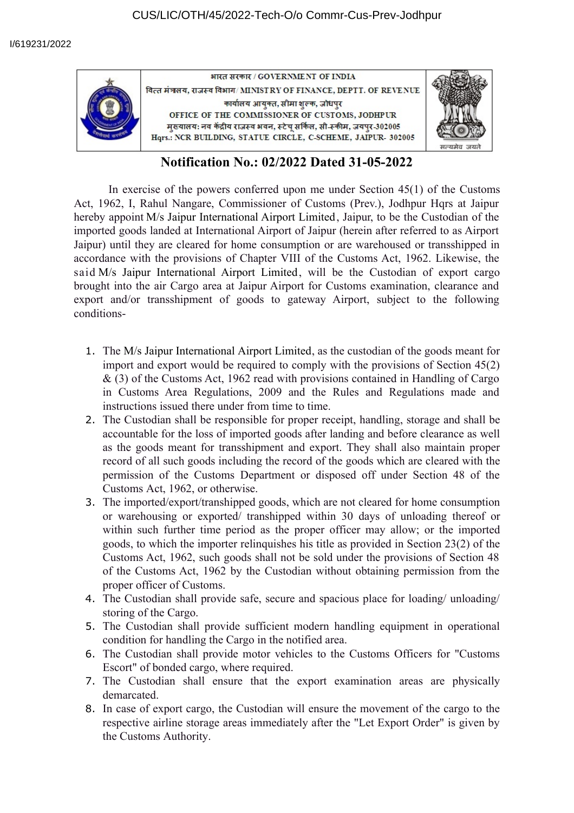



## **Notification No.: 02/2022 Dated 31-05-2022**

In exercise of the powers conferred upon me under Section 45(1) of the Customs Act, 1962, I, Rahul Nangare, Commissioner of Customs (Prev.), Jodhpur Hqrs at Jaipur hereby appoint M/s Jaipur International Airport Limited, Jaipur, to be the Custodian of the imported goods landed at International Airport of Jaipur (herein after referred to as Airport Jaipur) until they are cleared for home consumption or are warehoused or transshipped in accordance with the provisions of Chapter VIII of the Customs Act, 1962. Likewise, the said M/s Jaipur International Airport Limited, will be the Custodian of export cargo brought into the air Cargo area at Jaipur Airport for Customs examination, clearance and export and/or transshipment of goods to gateway Airport, subject to the following conditions-

- 1. The M/s Jaipur International Airport Limited, as the custodian of the goods meant for import and export would be required to comply with the provisions of Section 45(2) & (3) of the Customs Act, 1962 read with provisions contained in Handling of Cargo in Customs Area Regulations, 2009 and the Rules and Regulations made and instructions issued there under from time to time.
- 2. The Custodian shall be responsible for proper receipt, handling, storage and shall be accountable for the loss of imported goods after landing and before clearance as well as the goods meant for transshipment and export. They shall also maintain proper record of all such goods including the record of the goods which are cleared with the permission of the Customs Department or disposed off under Section 48 of the Customs Act, 1962, or otherwise.
- 3. The imported/export/transhipped goods, which are not cleared for home consumption or warehousing or exported/ transhipped within 30 days of unloading thereof or within such further time period as the proper officer may allow; or the imported goods, to which the importer relinquishes his title as provided in Section 23(2) of the Customs Act, 1962, such goods shall not be sold under the provisions of Section 48 of the Customs Act, 1962 by the Custodian without obtaining permission from the proper officer of Customs.
- 4. The Custodian shall provide safe, secure and spacious place for loading/ unloading/ storing of the Cargo.
- 5. The Custodian shall provide sufficient modern handling equipment in operational condition for handling the Cargo in the notified area.
- 6. The Custodian shall provide motor vehicles to the Customs Officers for "Customs Escort" of bonded cargo, where required.
- 7. The Custodian shall ensure that the export examination areas are physically demarcated.
- 8. In case of export cargo, the Custodian will ensure the movement of the cargo to the respective airline storage areas immediately after the "Let Export Order" is given by the Customs Authority.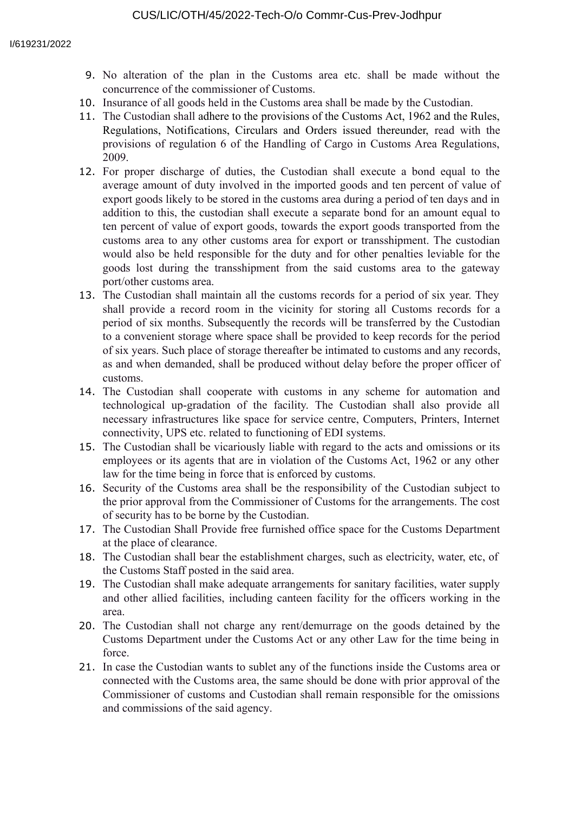- 9. No alteration of the plan in the Customs area etc. shall be made without the concurrence of the commissioner of Customs.
- 10. Insurance of all goods held in the Customs area shall be made by the Custodian.
- 11. The Custodian shall adhere to the provisions of the Customs Act, 1962 and the Rules, Regulations, Notifications, Circulars and Orders issued thereunder, read with the provisions of regulation 6 of the Handling of Cargo in Customs Area Regulations, 2009.
- 12. For proper discharge of duties, the Custodian shall execute a bond equal to the average amount of duty involved in the imported goods and ten percent of value of export goods likely to be stored in the customs area during a period of ten days and in addition to this, the custodian shall execute a separate bond for an amount equal to ten percent of value of export goods, towards the export goods transported from the customs area to any other customs area for export or transshipment. The custodian would also be held responsible for the duty and for other penalties leviable for the goods lost during the transshipment from the said customs area to the gateway port/other customs area.
- 13. The Custodian shall maintain all the customs records for a period of six year. They shall provide a record room in the vicinity for storing all Customs records for a period of six months. Subsequently the records will be transferred by the Custodian to a convenient storage where space shall be provided to keep records for the period of six years. Such place of storage thereafter be intimated to customs and any records, as and when demanded, shall be produced without delay before the proper officer of customs.
- 14. The Custodian shall cooperate with customs in any scheme for automation and technological up-gradation of the facility. The Custodian shall also provide all necessary infrastructures like space for service centre, Computers, Printers, Internet connectivity, UPS etc. related to functioning of EDI systems.
- 15. The Custodian shall be vicariously liable with regard to the acts and omissions or its employees or its agents that are in violation of the Customs Act, 1962 or any other law for the time being in force that is enforced by customs.
- 16. Security of the Customs area shall be the responsibility of the Custodian subject to the prior approval from the Commissioner of Customs for the arrangements. The cost of security has to be borne by the Custodian.
- 17. The Custodian Shall Provide free furnished office space for the Customs Department at the place of clearance.
- 18. The Custodian shall bear the establishment charges, such as electricity, water, etc, of the Customs Staff posted in the said area.
- 19. The Custodian shall make adequate arrangements for sanitary facilities, water supply and other allied facilities, including canteen facility for the officers working in the area.
- 20. The Custodian shall not charge any rent/demurrage on the goods detained by the Customs Department under the Customs Act or any other Law for the time being in force.
- 21. In case the Custodian wants to sublet any of the functions inside the Customs area or connected with the Customs area, the same should be done with prior approval of the Commissioner of customs and Custodian shall remain responsible for the omissions and commissions of the said agency.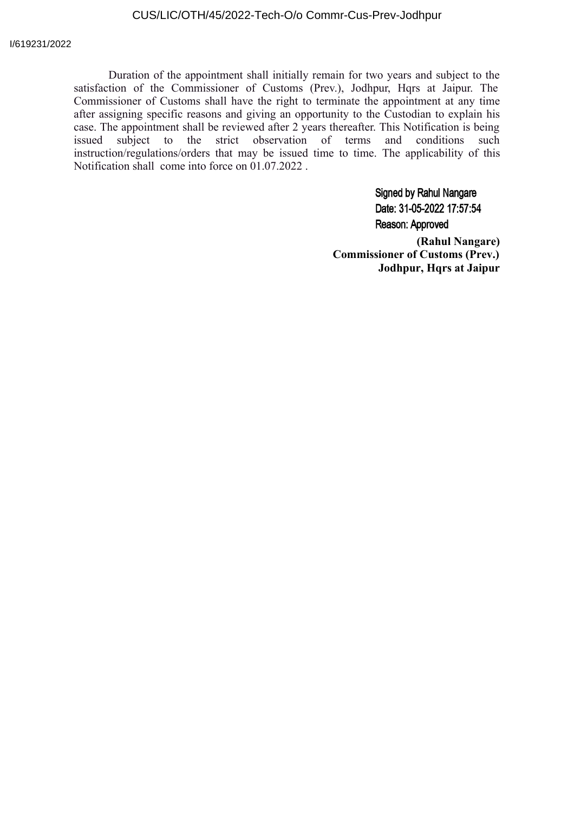## CUS/LIC/OTH/45/2022-Tech-O/o Commr-Cus-Prev-Jodhpur

Duration of the appointment shall initially remain for two years and subject to the satisfaction of the Commissioner of Customs (Prev.), Jodhpur, Hqrs at Jaipur. The Commissioner of Customs shall have the right to terminate the appointment at any time after assigning specific reasons and giving an opportunity to the Custodian to explain his case. The appointment shall be reviewed after 2 years thereafter. This Notification is being issued subject to the strict observation of terms and conditions such instruction/regulations/orders that may be issued time to time. The applicability of this Notification shall come into force on 01.07.2022 .

> **Signed by Rahul Nangare** Date: 31-05-2022 17:57:54 Reason: Approved

**(Rahul Nangare) Commissioner of Customs (Prev.) Jodhpur, Hqrs at Jaipur**